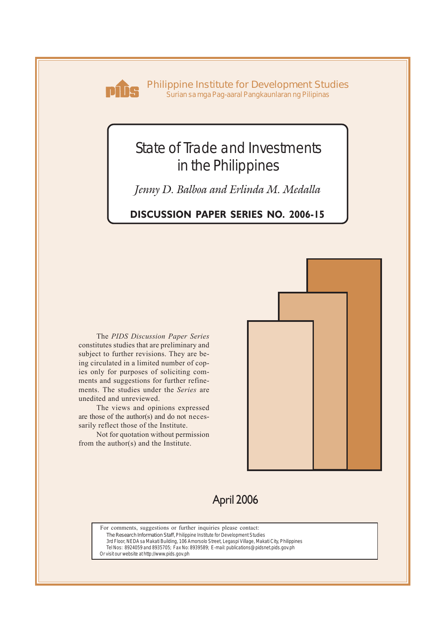

**Philippine Institute for Development Studies** *Surian sa mga Pag-aaral Pangkaunlaran ng Pilipinas*

# State of Trade and Investments in the Philippines

*Jenny D. Balboa and Erlinda M. Medalla*

## **DISCUSSION PAPER SERIES NO. 2006-15**

The *PIDS Discussion Paper Series* constitutes studies that are preliminary and subject to further revisions. They are being circulated in a limited number of copies only for purposes of soliciting comments and suggestions for further refinements. The studies under the *Series* are unedited and unreviewed.

The views and opinions expressed are those of the author(s) and do not necessarily reflect those of the Institute.

Not for quotation without permission from the author(s) and the Institute.



## April 2006

For comments, suggestions or further inquiries please contact: **The Research Information Staff,** Philippine Institute for Development Studies 3rd Floor, NEDA sa Makati Building, 106 Amorsolo Street, Legaspi Village, Makati City, Philippines Tel Nos: 8924059 and 8935705; Fax No: 8939589; E-mail: publications@pidsnet.pids.gov.ph Or visit our website at http://www.pids.gov.ph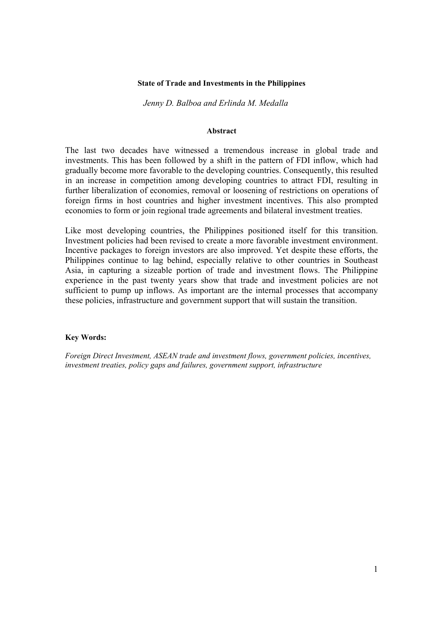#### **State of Trade and Investments in the Philippines**

#### *Jenny D. Balboa and Erlinda M. Medalla*

#### **Abstract**

The last two decades have witnessed a tremendous increase in global trade and investments. This has been followed by a shift in the pattern of FDI inflow, which had gradually become more favorable to the developing countries. Consequently, this resulted in an increase in competition among developing countries to attract FDI, resulting in further liberalization of economies, removal or loosening of restrictions on operations of foreign firms in host countries and higher investment incentives. This also prompted economies to form or join regional trade agreements and bilateral investment treaties.

Like most developing countries, the Philippines positioned itself for this transition. Investment policies had been revised to create a more favorable investment environment. Incentive packages to foreign investors are also improved. Yet despite these efforts, the Philippines continue to lag behind, especially relative to other countries in Southeast Asia, in capturing a sizeable portion of trade and investment flows. The Philippine experience in the past twenty years show that trade and investment policies are not sufficient to pump up inflows. As important are the internal processes that accompany these policies, infrastructure and government support that will sustain the transition.

#### **Key Words:**

*Foreign Direct Investment, ASEAN trade and investment flows, government policies, incentives, investment treaties, policy gaps and failures, government support, infrastructure*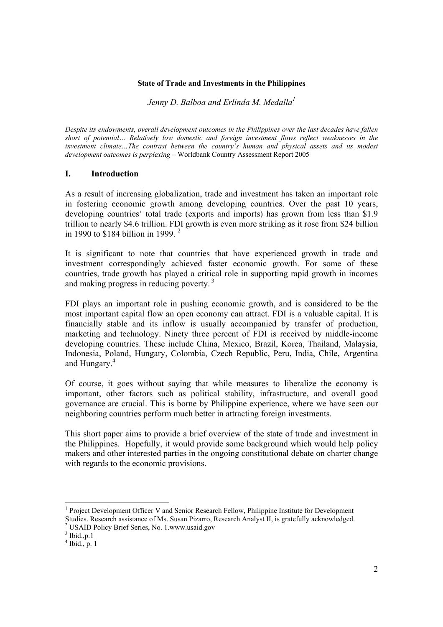#### **State of Trade and Investments in the Philippines**

*Jenny D. Balboa and Erlinda M. Medalla<sup>1</sup>*

*Despite its endowments, overall development outcomes in the Philippines over the last decades have fallen short of potential… Relatively low domestic and foreign investment flows reflect weaknesses in the investment climate…The contrast between the country's human and physical assets and its modest development outcomes is perplexing* – Worldbank Country Assessment Report 2005

### **I. Introduction**

As a result of increasing globalization, trade and investment has taken an important role in fostering economic growth among developing countries. Over the past 10 years, developing countries' total trade (exports and imports) has grown from less than \$1.9 trillion to nearly \$4.6 trillion. FDI growth is even more striking as it rose from \$24 billion in 1990 to \$184 billion in 1999. 2

It is significant to note that countries that have experienced growth in trade and investment correspondingly achieved faster economic growth. For some of these countries, trade growth has played a critical role in supporting rapid growth in incomes and making progress in reducing poverty.<sup>3</sup>

FDI plays an important role in pushing economic growth, and is considered to be the most important capital flow an open economy can attract. FDI is a valuable capital. It is financially stable and its inflow is usually accompanied by transfer of production, marketing and technology. Ninety three percent of FDI is received by middle-income developing countries. These include China, Mexico, Brazil, Korea, Thailand, Malaysia, Indonesia, Poland, Hungary, Colombia, Czech Republic, Peru, India, Chile, Argentina and Hungary.<sup>4</sup>

Of course, it goes without saying that while measures to liberalize the economy is important, other factors such as political stability, infrastructure, and overall good governance are crucial. This is borne by Philippine experience, where we have seen our neighboring countries perform much better in attracting foreign investments.

This short paper aims to provide a brief overview of the state of trade and investment in the Philippines. Hopefully, it would provide some background which would help policy makers and other interested parties in the ongoing constitutional debate on charter change with regards to the economic provisions.

 <sup>1</sup> Project Development Officer V and Senior Research Fellow, Philippine Institute for Development Studies. Research assistance of Ms. Susan Pizarro, Research Analyst II, is gratefully acknowledged.

<sup>2</sup> USAID Policy Brief Series, No. 1.www.usaid.gov

 $3$  Ibid., p. 1

 $4$  Ibid., p. 1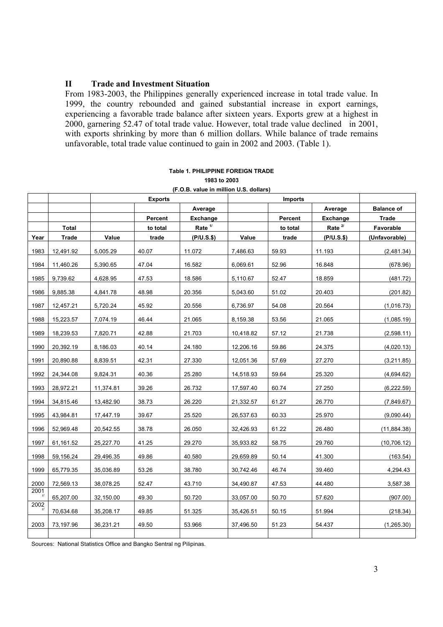## **II Trade and Investment Situation**

From 1983-2003, the Philippines generally experienced increase in total trade value. In 1999, the country rebounded and gained substantial increase in export earnings, experiencing a favorable trade balance after sixteen years. Exports grew at a highest in 2000, garnering 52.47 of total trade value. However, total trade value declined in 2001, with exports shrinking by more than 6 million dollars. While balance of trade remains unfavorable, total trade value continued to gain in 2002 and 2003. (Table 1).

|      |              |           | <b>Exports</b> |                    |           | <b>Imports</b> |                    |                   |
|------|--------------|-----------|----------------|--------------------|-----------|----------------|--------------------|-------------------|
|      |              |           |                | Average            |           |                | Average            | <b>Balance of</b> |
|      |              |           | Percent        | <b>Exchange</b>    |           | Percent        | Exchange           | <b>Trade</b>      |
|      | <b>Total</b> |           | to total       | Rate <sup>1/</sup> |           | to total       | Rate <sup>2/</sup> | Favorable         |
| Year | <b>Trade</b> | Value     | trade          | (P/U.S.\$)         | Value     | trade          | $(PIU.S.$ \$)      | (Unfavorable)     |
| 1983 | 12,491.92    | 5,005.29  | 40.07          | 11.072             | 7,486.63  | 59.93          | 11.193             | (2,481.34)        |
| 1984 | 11,460.26    | 5,390.65  | 47.04          | 16.582             | 6,069.61  | 52.96          | 16.848             | (678.96)          |
| 1985 | 9,739.62     | 4,628.95  | 47.53          | 18.586             | 5,110.67  | 52.47          | 18.859             | (481.72)          |
| 1986 | 9,885.38     | 4,841.78  | 48.98          | 20.356             | 5,043.60  | 51.02          | 20.403             | (201.82)          |
| 1987 | 12,457.21    | 5,720.24  | 45.92          | 20.556             | 6,736.97  | 54.08          | 20.564             | (1,016.73)        |
| 1988 | 15,223.57    | 7,074.19  | 46.44          | 21.065             | 8,159.38  | 53.56          | 21.065             | (1,085.19)        |
| 1989 | 18,239.53    | 7,820.71  | 42.88          | 21.703             | 10,418.82 | 57.12          | 21.738             | (2,598.11)        |
| 1990 | 20,392.19    | 8,186.03  | 40.14          | 24.180             | 12,206.16 | 59.86          | 24.375             | (4,020.13)        |
| 1991 | 20,890.88    | 8,839.51  | 42.31          | 27.330             | 12,051.36 | 57.69          | 27.270             | (3,211.85)        |
| 1992 | 24,344.08    | 9,824.31  | 40.36          | 25.280             | 14,518.93 | 59.64          | 25.320             | (4,694.62)        |
| 1993 | 28,972.21    | 11,374.81 | 39.26          | 26.732             | 17,597.40 | 60.74          | 27.250             | (6, 222.59)       |
| 1994 | 34,815.46    | 13,482.90 | 38.73          | 26.220             | 21,332.57 | 61.27          | 26.770             | (7,849.67)        |
| 1995 | 43,984.81    | 17,447.19 | 39.67          | 25.520             | 26,537.63 | 60.33          | 25.970             | (9,090.44)        |
| 1996 | 52,969.48    | 20,542.55 | 38.78          | 26.050             | 32,426.93 | 61.22          | 26.480             | (11, 884.38)      |
| 1997 | 61,161.52    | 25,227.70 | 41.25          | 29.270             | 35,933.82 | 58.75          | 29.760             | (10, 706.12)      |
| 1998 | 59,156.24    | 29,496.35 | 49.86          | 40.580             | 29,659.89 | 50.14          | 41.300             | (163.54)          |
| 1999 | 65,779.35    | 35,036.89 | 53.26          | 38.780             | 30,742.46 | 46.74          | 39.460             | 4,294.43          |
| 2000 | 72,569.13    | 38,078.25 | 52.47          | 43.710             | 34,490.87 | 47.53          | 44.480             | 3,587.38          |
| 2001 | 65,207.00    | 32,150.00 | 49.30          | 50.720             | 33,057.00 | 50.70          | 57.620             | (907.00)          |
| 2002 | 70,634.68    | 35,208.17 | 49.85          | 51.325             | 35,426.51 | 50.15          | 51.994             | (218.34)          |
| 2003 | 73,197.96    | 36,231.21 | 49.50          | 53.966             | 37,496.50 | 51.23          | 54.437             | (1,265.30)        |
|      |              |           |                |                    |           |                |                    |                   |

| Table 1. PHILIPPINE FOREIGN TRADE                |
|--------------------------------------------------|
| 1983 to 2003                                     |
| $(F \cap R$ value in million $H \cap R$ dollare) |

Sources: National Statistics Office and Bangko Sentral ng Pilipinas.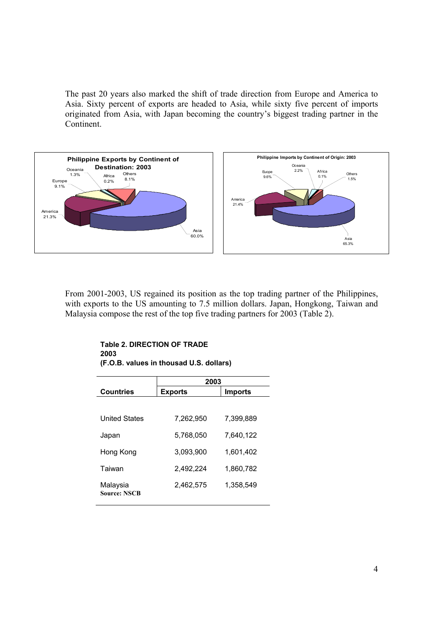The past 20 years also marked the shift of trade direction from Europe and America to Asia. Sixty percent of exports are headed to Asia, while sixty five percent of imports originated from Asia, with Japan becoming the country's biggest trading partner in the Continent.



From 2001-2003, US regained its position as the top trading partner of the Philippines, with exports to the US amounting to 7.5 million dollars. Japan, Hongkong, Taiwan and Malaysia compose the rest of the top five trading partners for 2003 (Table 2).

| <b>Table 2. DIRECTION OF TRADE</b>      |  |
|-----------------------------------------|--|
| 2003                                    |  |
| (F.O.B. values in thousad U.S. dollars) |  |

|                                 | 2003           |                |
|---------------------------------|----------------|----------------|
| <b>Countries</b>                | <b>Exports</b> | <b>Imports</b> |
|                                 |                |                |
| <b>United States</b>            | 7,262,950      | 7.399.889      |
| Japan                           | 5.768.050      | 7.640.122      |
| Hong Kong                       | 3,093,900      | 1,601,402      |
| Taiwan                          | 2,492,224      | 1,860,782      |
| Malaysia<br><b>Source: NSCB</b> | 2,462,575      | 1,358,549      |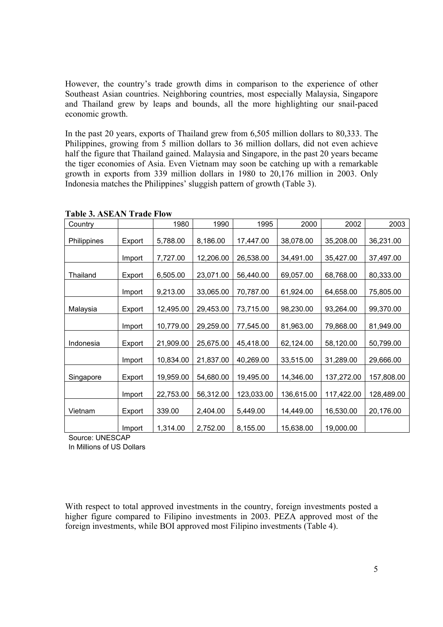However, the country's trade growth dims in comparison to the experience of other Southeast Asian countries. Neighboring countries, most especially Malaysia, Singapore and Thailand grew by leaps and bounds, all the more highlighting our snail-paced economic growth.

In the past 20 years, exports of Thailand grew from 6,505 million dollars to 80,333. The Philippines, growing from 5 million dollars to 36 million dollars, did not even achieve half the figure that Thailand gained. Malaysia and Singapore, in the past 20 years became the tiger economies of Asia. Even Vietnam may soon be catching up with a remarkable growth in exports from 339 million dollars in 1980 to 20,176 million in 2003. Only Indonesia matches the Philippines' sluggish pattern of growth (Table 3).

| Country     |        | 1980      | 1990      | 1995       | 2000       | 2002       | 2003       |
|-------------|--------|-----------|-----------|------------|------------|------------|------------|
| Philippines | Export | 5,788.00  | 8,186.00  | 17,447.00  | 38,078.00  | 35,208.00  | 36,231.00  |
|             | Import | 7,727.00  | 12,206.00 | 26,538.00  | 34,491.00  | 35,427.00  | 37,497.00  |
| Thailand    | Export | 6,505.00  | 23,071.00 | 56,440.00  | 69,057.00  | 68,768.00  | 80,333.00  |
|             | Import | 9,213.00  | 33,065.00 | 70,787.00  | 61,924.00  | 64,658.00  | 75,805.00  |
| Malaysia    | Export | 12,495.00 | 29,453.00 | 73,715.00  | 98,230.00  | 93,264.00  | 99,370.00  |
|             | Import | 10,779.00 | 29,259.00 | 77,545.00  | 81,963.00  | 79,868.00  | 81,949.00  |
| Indonesia   | Export | 21,909.00 | 25,675.00 | 45,418.00  | 62,124.00  | 58,120.00  | 50,799.00  |
|             | Import | 10,834.00 | 21,837.00 | 40,269.00  | 33,515.00  | 31,289.00  | 29,666.00  |
| Singapore   | Export | 19,959.00 | 54,680.00 | 19,495.00  | 14,346.00  | 137,272.00 | 157,808.00 |
|             | Import | 22,753.00 | 56,312.00 | 123,033.00 | 136,615.00 | 117,422.00 | 128,489.00 |
| Vietnam     | Export | 339.00    | 2,404.00  | 5,449.00   | 14,449.00  | 16,530.00  | 20,176.00  |
|             | Import | 1,314.00  | 2,752.00  | 8,155.00   | 15,638.00  | 19,000.00  |            |

**Table 3. ASEAN Trade Flow** 

Source: UNESCAP

In Millions of US Dollars

With respect to total approved investments in the country, foreign investments posted a higher figure compared to Filipino investments in 2003. PEZA approved most of the foreign investments, while BOI approved most Filipino investments (Table 4).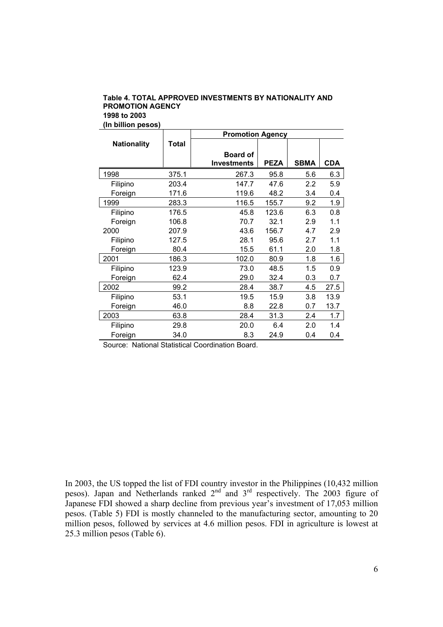#### **Table 4. TOTAL APPROVED INVESTMENTS BY NATIONALITY AND PROMOTION AGENCY 1998 to 2003 (In billion pesos)**

|                    |       | <b>Promotion Agency</b> |             |             |            |  |  |  |
|--------------------|-------|-------------------------|-------------|-------------|------------|--|--|--|
| <b>Nationality</b> | Total |                         |             |             |            |  |  |  |
|                    |       | <b>Board of</b>         |             |             |            |  |  |  |
|                    |       | <b>Investments</b>      | <b>PEZA</b> | <b>SBMA</b> | <b>CDA</b> |  |  |  |
| 1998               | 375.1 | 267.3                   | 95.8        | 5.6         | 6.3        |  |  |  |
| Filipino           | 203.4 | 147.7                   | 47.6        | 2.2         | 5.9        |  |  |  |
| Foreign            | 171.6 | 119.6                   | 48.2        | 3.4         | 0.4        |  |  |  |
| 1999               | 283.3 | 116.5                   | 155.7       | 9.2         | 1.9        |  |  |  |
| Filipino           | 176.5 | 45.8                    | 123.6       | 6.3         | 0.8        |  |  |  |
| Foreign            | 106.8 | 70.7                    | 32.1        | 2.9         | 1.1        |  |  |  |
| 2000               | 207.9 | 43.6                    | 156.7       | 4.7         | 2.9        |  |  |  |
| Filipino           | 127.5 | 28.1                    | 95.6        | 2.7         | 1.1        |  |  |  |
| Foreign            | 80.4  | 15.5                    | 61.1        | 2.0         | 1.8        |  |  |  |
| 2001               | 186.3 | 102.0                   | 80.9        | 1.8         | 1.6        |  |  |  |
| Filipino           | 123.9 | 73.0                    | 48.5        | 1.5         | 0.9        |  |  |  |
| Foreign            | 62.4  | 29.0                    | 32.4        | 0.3         | 0.7        |  |  |  |
| 2002               | 99.2  | 28.4                    | 38.7        | 4.5         | 27.5       |  |  |  |
| Filipino           | 53.1  | 19.5                    | 15.9        | 3.8         | 13.9       |  |  |  |
| Foreign            | 46.0  | 8.8                     | 22.8        | 0.7         | 13.7       |  |  |  |
| 2003               | 63.8  | 28.4                    | 31.3        | 2.4         | 1.7        |  |  |  |
| Filipino           | 29.8  | 20.0                    | 6.4         | 2.0         | 1.4        |  |  |  |
| Foreign            | 34.0  | 8.3                     | 24.9        | 0.4         | 0.4        |  |  |  |

Source: National Statistical Coordination Board.

In 2003, the US topped the list of FDI country investor in the Philippines (10,432 million pesos). Japan and Netherlands ranked  $2<sup>nd</sup>$  and  $3<sup>rd</sup>$  respectively. The 2003 figure of Japanese FDI showed a sharp decline from previous year's investment of 17,053 million pesos. (Table 5) FDI is mostly channeled to the manufacturing sector, amounting to 20 million pesos, followed by services at 4.6 million pesos. FDI in agriculture is lowest at 25.3 million pesos (Table 6).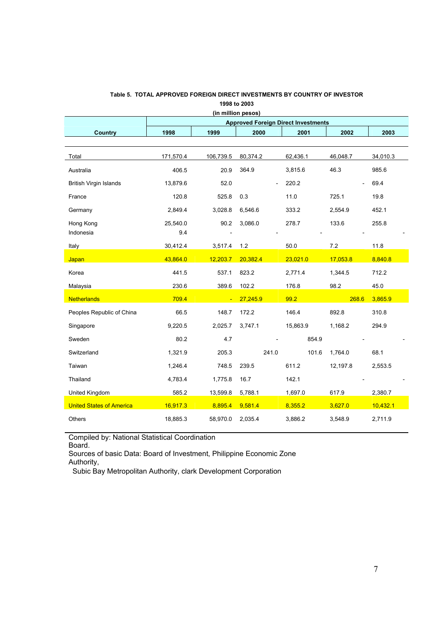| (in million pesos)              |                                            |           |          |          |          |          |  |  |
|---------------------------------|--------------------------------------------|-----------|----------|----------|----------|----------|--|--|
|                                 | <b>Approved Foreign Direct Investments</b> |           |          |          |          |          |  |  |
| <b>Country</b>                  | 1998                                       | 1999      | 2000     | 2001     | 2002     | 2003     |  |  |
|                                 |                                            |           |          |          |          |          |  |  |
| Total                           | 171,570.4                                  | 106,739.5 | 80,374.2 | 62,436.1 | 46,048.7 | 34,010.3 |  |  |
| Australia                       | 406.5                                      | 20.9      | 364.9    | 3,815.6  | 46.3     | 985.6    |  |  |
| <b>British Virgin Islands</b>   | 13,879.6                                   | 52.0      |          | 220.2    |          | 69.4     |  |  |
| France                          | 120.8                                      | 525.8     | 0.3      | 11.0     | 725.1    | 19.8     |  |  |
| Germany                         | 2,849.4                                    | 3,028.8   | 6,546.6  | 333.2    | 2,554.9  | 452.1    |  |  |
| Hong Kong<br>Indonesia          | 25,540.0<br>9.4                            | 90.2      | 3,086.0  | 278.7    | 133.6    | 255.8    |  |  |
| Italy                           | 30,412.4                                   | 3,517.4   | 1.2      | 50.0     | 7.2      | 11.8     |  |  |
| Japan                           | 43,864.0                                   | 12,203.7  | 20,382.4 | 23,021.0 | 17,053.8 | 8,840.8  |  |  |
| Korea                           | 441.5                                      | 537.1     | 823.2    | 2,771.4  | 1,344.5  | 712.2    |  |  |
| Malaysia                        | 230.6                                      | 389.6     | 102.2    | 176.8    | 98.2     | 45.0     |  |  |
| <b>Netherlands</b>              | 709.4                                      | ٠         | 27,245.9 | 99.2     | 268.6    | 3,865.9  |  |  |
| Peoples Republic of China       | 66.5                                       | 148.7     | 172.2    | 146.4    | 892.8    | 310.8    |  |  |
| Singapore                       | 9,220.5                                    | 2,025.7   | 3,747.1  | 15,863.9 | 1,168.2  | 294.9    |  |  |
| Sweden                          | 80.2                                       | 4.7       |          | 854.9    |          |          |  |  |
| Switzerland                     | 1,321.9                                    | 205.3     | 241.0    | 101.6    | 1,764.0  | 68.1     |  |  |
| Taiwan                          | 1,246.4                                    | 748.5     | 239.5    | 611.2    | 12,197.8 | 2,553.5  |  |  |
| Thailand                        | 4,783.4                                    | 1,775.8   | 16.7     | 142.1    |          |          |  |  |
| United Kingdom                  | 585.2                                      | 13,599.8  | 5,788.1  | 1,697.0  | 617.9    | 2,380.7  |  |  |
| <b>United States of America</b> | 16,917.3                                   | 8,895.4   | 9,581.4  | 8,355.2  | 3,627.0  | 10,432.1 |  |  |
| Others                          | 18,885.3                                   | 58,970.0  | 2,035.4  | 3,886.2  | 3,548.9  | 2,711.9  |  |  |

#### **Table 5. TOTAL APPROVED FOREIGN DIRECT INVESTMENTS BY COUNTRY OF INVESTOR 1998 to 2003**

Compiled by: National Statistical Coordination

Board.

Sources of basic Data: Board of Investment, Philippine Economic Zone Authority,

Subic Bay Metropolitan Authority, clark Development Corporation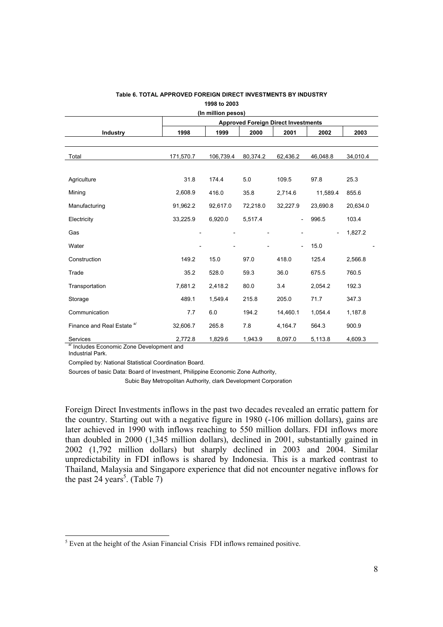|                                       |                                            | (In million pesos) |          |                          |          |          |  |  |  |
|---------------------------------------|--------------------------------------------|--------------------|----------|--------------------------|----------|----------|--|--|--|
|                                       | <b>Approved Foreign Direct Investments</b> |                    |          |                          |          |          |  |  |  |
| <b>Industry</b>                       | 1998                                       | 1999               | 2000     | 2001                     | 2002     | 2003     |  |  |  |
|                                       |                                            |                    |          |                          |          |          |  |  |  |
| Total                                 | 171,570.7                                  | 106,739.4          | 80,374.2 | 62,436.2                 | 46,048.8 | 34,010.4 |  |  |  |
| Agriculture                           | 31.8                                       | 174.4              | 5.0      | 109.5                    | 97.8     | 25.3     |  |  |  |
| Mining                                | 2,608.9                                    | 416.0              | 35.8     | 2,714.6                  | 11,589.4 | 855.6    |  |  |  |
| Manufacturing                         | 91,962.2                                   | 92,617.0           | 72,218.0 | 32,227.9                 | 23,690.8 | 20,634.0 |  |  |  |
| Electricity                           | 33,225.9                                   | 6,920.0            | 5,517.4  | $\overline{\phantom{0}}$ | 996.5    | 103.4    |  |  |  |
| Gas                                   |                                            |                    |          |                          |          | 1,827.2  |  |  |  |
| Water                                 |                                            |                    |          | $\overline{a}$           | 15.0     |          |  |  |  |
| Construction                          | 149.2                                      | 15.0               | 97.0     | 418.0                    | 125.4    | 2,566.8  |  |  |  |
| Trade                                 | 35.2                                       | 528.0              | 59.3     | 36.0                     | 675.5    | 760.5    |  |  |  |
| Transportation                        | 7,681.2                                    | 2,418.2            | 80.0     | 3.4                      | 2,054.2  | 192.3    |  |  |  |
| Storage                               | 489.1                                      | 1,549.4            | 215.8    | 205.0                    | 71.7     | 347.3    |  |  |  |
| Communication                         | 7.7                                        | 6.0                | 194.2    | 14,460.1                 | 1,054.4  | 1,187.8  |  |  |  |
| Finance and Real Estate <sup>a/</sup> | 32,606.7                                   | 265.8              | 7.8      | 4,164.7                  | 564.3    | 900.9    |  |  |  |
| Services                              | 2,772.8                                    | 1,829.6            | 1,943.9  | 8,097.0                  | 5,113.8  | 4,609.3  |  |  |  |

#### **Table 6. TOTAL APPROVED FOREIGN DIRECT INVESTMENTS BY INDUSTRY 1998 to 2003**

a/ Includes Economic Zone Development and

Industrial Park.

 $\overline{a}$ 

Compiled by: National Statistical Coordination Board.

Sources of basic Data: Board of Investment, Philippine Economic Zone Authority,

Subic Bay Metropolitan Authority, clark Development Corporation

Foreign Direct Investments inflows in the past two decades revealed an erratic pattern for the country. Starting out with a negative figure in 1980 (-106 million dollars), gains are later achieved in 1990 with inflows reaching to 550 million dollars. FDI inflows more than doubled in 2000 (1,345 million dollars), declined in 2001, substantially gained in 2002 (1,792 million dollars) but sharply declined in 2003 and 2004. Similar unpredictability in FDI inflows is shared by Indonesia. This is a marked contrast to Thailand, Malaysia and Singapore experience that did not encounter negative inflows for the past 24 years<sup>5</sup>. (Table 7)

 $<sup>5</sup>$  Even at the height of the Asian Financial Crisis FDI inflows remained positive.</sup>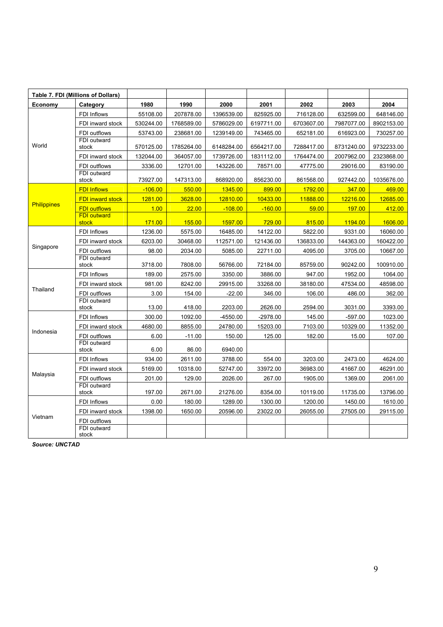| Table 7. FDI (Millions of Dollars) |                             |           |            |            |            |            |            |            |
|------------------------------------|-----------------------------|-----------|------------|------------|------------|------------|------------|------------|
| Economy                            | Category                    | 1980      | 1990       | 2000       | 2001       | 2002       | 2003       | 2004       |
|                                    | FDI Inflows                 | 55108.00  | 207878.00  | 1396539.00 | 825925.00  | 716128.00  | 632599.00  | 648146.00  |
|                                    | FDI inward stock            | 530244.00 | 1768589.00 | 5786029.00 | 6197711.00 | 6703607.00 | 7987077.00 | 8902153.00 |
|                                    | FDI outflows                | 53743.00  | 238681.00  | 1239149.00 | 743465.00  | 652181.00  | 616923.00  | 730257.00  |
| World                              | FDI outward<br>stock        | 570125.00 | 1785264.00 | 6148284.00 | 6564217.00 | 7288417.00 | 8731240.00 | 9732233.00 |
|                                    | FDI inward stock            | 132044.00 | 364057.00  | 1739726.00 | 1831112.00 | 1764474.00 | 2007962.00 | 2323868.00 |
|                                    | FDI outflows                | 3336.00   | 12701.00   | 143226.00  | 78571.00   | 47775.00   | 29016.00   | 83190.00   |
|                                    | FDI outward<br>stock        | 73927.00  | 147313.00  | 868920.00  | 856230.00  | 861568.00  | 927442.00  | 1035676.00 |
|                                    | <b>FDI Inflows</b>          | $-106.00$ | 550.00     | 1345.00    | 899.00     | 1792.00    | 347.00     | 469.00     |
|                                    | <b>FDI inward stock</b>     | 1281.00   | 3628.00    | 12810.00   | 10433.00   | 11888.00   | 12216.00   | 12685.00   |
| <b>Philippines</b>                 | <b>FDI outflows</b>         | 1.00      | 22.00      | $-108.00$  | $-160.00$  | 59.00      | 197.00     | 412.00     |
|                                    | <b>FDI outward</b><br>stock | 171.00    | 155.00     | 1597.00    | 729.00     | 815.00     | 1194.00    | 1606.00    |
|                                    | FDI Inflows                 | 1236.00   | 5575.00    | 16485.00   | 14122.00   | 5822.00    | 9331.00    | 16060.00   |
|                                    | FDI inward stock            | 6203.00   | 30468.00   | 112571.00  | 121436.00  | 136833.00  | 144363.00  | 160422.00  |
| Singapore                          | FDI outflows                | 98.00     | 2034.00    | 5085.00    | 22711.00   | 4095.00    | 3705.00    | 10667.00   |
|                                    | FDI outward<br>stock        | 3718.00   | 7808.00    | 56766.00   | 72184.00   | 85759.00   | 90242.00   | 100910.00  |
|                                    | FDI Inflows                 | 189.00    | 2575.00    | 3350.00    | 3886.00    | 947.00     | 1952.00    | 1064.00    |
|                                    | FDI inward stock            | 981.00    | 8242.00    | 29915.00   | 33268.00   | 38180.00   | 47534.00   | 48598.00   |
| Thailand                           | FDI outflows                | 3.00      | 154.00     | $-22.00$   | 346.00     | 106.00     | 486.00     | 362.00     |
|                                    | FDI outward<br>stock        | 13.00     | 418.00     | 2203.00    | 2626.00    | 2594.00    | 3031.00    | 3393.00    |
|                                    | FDI Inflows                 | 300.00    | 1092.00    | $-4550.00$ | -2978.00   | 145.00     | $-597.00$  | 1023.00    |
|                                    | FDI inward stock            | 4680.00   | 8855.00    | 24780.00   | 15203.00   | 7103.00    | 10329.00   | 11352.00   |
| Indonesia                          | FDI outflows                | 6.00      | $-11.00$   | 150.00     | 125.00     | 182.00     | 15.00      | 107.00     |
|                                    | FDI outward<br>stock        | 6.00      | 86.00      | 6940.00    |            |            |            |            |
|                                    | FDI Inflows                 | 934.00    | 2611.00    | 3788.00    | 554.00     | 3203.00    | 2473.00    | 4624.00    |
|                                    | FDI inward stock            | 5169.00   | 10318.00   | 52747.00   | 33972.00   | 36983.00   | 41667.00   | 46291.00   |
| Malaysia                           | FDI outflows                | 201.00    | 129.00     | 2026.00    | 267.00     | 1905.00    | 1369.00    | 2061.00    |
|                                    | FDI outward<br>stock        | 197.00    | 2671.00    | 21276.00   | 8354.00    | 10119.00   | 11735.00   | 13796.00   |
|                                    | FDI Inflows                 | 0.00      | 180.00     | 1289.00    | 1300.00    | 1200.00    | 1450.00    | 1610.00    |
|                                    | FDI inward stock            | 1398.00   | 1650.00    | 20596.00   | 23022.00   | 26055.00   | 27505.00   | 29115.00   |
| Vietnam                            | FDI outflows                |           |            |            |            |            |            |            |
|                                    | FDI outward<br>stock        |           |            |            |            |            |            |            |

*Source: UNCTAD*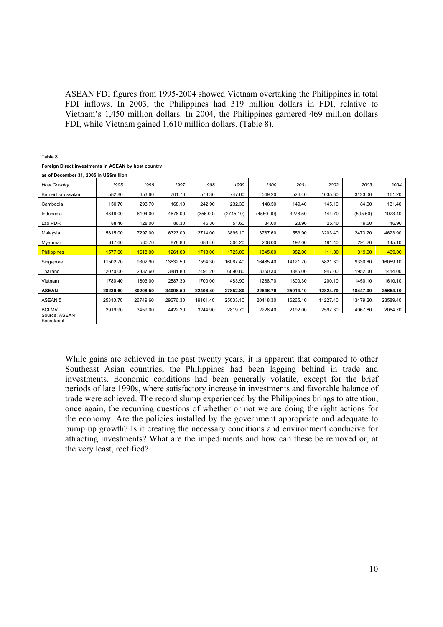ASEAN FDI figures from 1995-2004 showed Vietnam overtaking the Philippines in total FDI inflows. In 2003, the Philippines had 319 million dollars in FDI, relative to Vietnam's 1,450 million dollars. In 2004, the Philippines garnered 469 million dollars FDI, while Vietnam gained 1,610 million dollars. (Table 8).

#### **Table 8**

#### **Foreign Direct investments in ASEAN by host country**

 $\overline{\phantom{a}}$ 

| as of December 31, 2005 in US\$million |          |          |          |          |           |           |          |          |          |          |
|----------------------------------------|----------|----------|----------|----------|-----------|-----------|----------|----------|----------|----------|
| <b>Host Country</b>                    | 1995     | 1996     | 1997     | 1998     | 1999      | 2000      | 2001     | 2002     | 2003     | 2004     |
| Brunei Darussalam                      | 582.80   | 653.60   | 701.70   | 573.30   | 747.60    | 549.20    | 526.40   | 1035.30  | 3123.00  | 161.20   |
| Cambodia                               | 150.70   | 293.70   | 168.10   | 242.90   | 232.30    | 148.50    | 149.40   | 145.10   | 84.00    | 131.40   |
| Indonesia                              | 4346.00  | 6194.00  | 4678.00  | (356.00) | (2745.10) | (4550.00) | 3278.50  | 144.70   | (595.60) | 1023.40  |
| Lao PDR                                | 88.40    | 128.00   | 86.30    | 45.30    | 51.60     | 34.00     | 23.90    | 25.40    | 19.50    | 16.90    |
| Malaysia                               | 5815.00  | 7297.00  | 6323.00  | 2714.00  | 3895.10   | 3787.60   | 553.90   | 3203.40  | 2473.20  | 4623.90  |
| Myanmar                                | 317.60   | 580.70   | 878.80   | 683.40   | 304.20    | 208.00    | 192.00   | 191.40   | 291.20   | 145.10   |
| <b>Philippines</b>                     | 1577.00  | 1618.00  | 1261.00  | 1718.00  | 1725.00   | 1345.00   | 982.00   | 111.00   | 319.00   | 469.00   |
| Singapore                              | 11502.70 | 9302.90  | 13532.50 | 7594.30  | 16067.40  | 16485.40  | 14121.70 | 5821.30  | 9330.60  | 16059.10 |
| Thailand                               | 2070.00  | 2337.60  | 3881.80  | 7491.20  | 6090.80   | 3350.30   | 3886.00  | 947.00   | 1952.00  | 1414.00  |
| Vietnam                                | 1780.40  | 1803.00  | 2587.30  | 1700.00  | 1483.90   | 1288.70   | 1300.30  | 1200.10  | 1450.10  | 1610.10  |
| <b>ASEAN</b>                           | 28230.60 | 30208.50 | 34098.50 | 22406.40 | 27852.80  | 22646.70  | 25014.10 | 12824.70 | 18447.00 | 25654.10 |
| ASEAN 5                                | 25310.70 | 26749.60 | 29676.30 | 19161.40 | 25033.10  | 20418.30  | 16265.10 | 11227.40 | 13479.20 | 23589.40 |
| <b>BCLMV</b>                           | 2919.90  | 3459.00  | 4422.20  | 3244.90  | 2819.70   | 2228.40   | 2192.00  | 2597.30  | 4967.80  | 2064.70  |
| SOUTOR: ASEAN                          |          |          |          |          |           |           |          |          |          |          |

Source: ASEAN Secretariat

While gains are achieved in the past twenty years, it is apparent that compared to other Southeast Asian countries, the Philippines had been lagging behind in trade and investments. Economic conditions had been generally volatile, except for the brief periods of late 1990s, where satisfactory increase in investments and favorable balance of trade were achieved. The record slump experienced by the Philippines brings to attention, once again, the recurring questions of whether or not we are doing the right actions for the economy. Are the policies installed by the government appropriate and adequate to pump up growth? Is it creating the necessary conditions and environment conducive for attracting investments? What are the impediments and how can these be removed or, at the very least, rectified?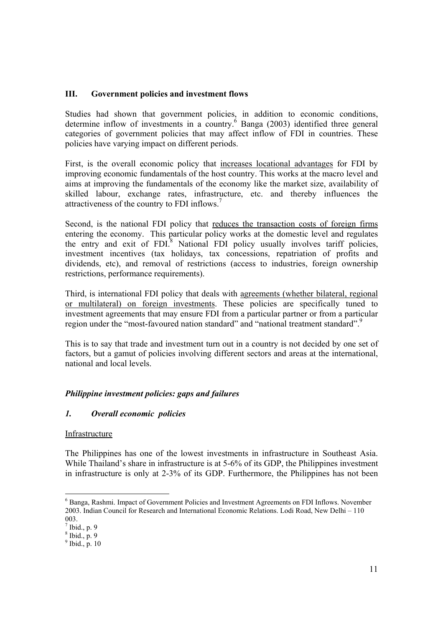### **III. Government policies and investment flows**

Studies had shown that government policies, in addition to economic conditions, determine inflow of investments in a country. $6$  Banga (2003) identified three general categories of government policies that may affect inflow of FDI in countries. These policies have varying impact on different periods.

First, is the overall economic policy that increases locational advantages for FDI by improving economic fundamentals of the host country. This works at the macro level and aims at improving the fundamentals of the economy like the market size, availability of skilled labour, exchange rates, infrastructure, etc. and thereby influences the attractiveness of the country to FDI inflows.7

Second, is the national FDI policy that reduces the transaction costs of foreign firms entering the economy. This particular policy works at the domestic level and regulates the entry and exit of FDI.<sup>8</sup> National FDI policy usually involves tariff policies, investment incentives (tax holidays, tax concessions, repatriation of profits and dividends, etc), and removal of restrictions (access to industries, foreign ownership restrictions, performance requirements).

Third, is international FDI policy that deals with agreements (whether bilateral, regional or multilateral) on foreign investments. These policies are specifically tuned to investment agreements that may ensure FDI from a particular partner or from a particular region under the "most-favoured nation standard" and "national treatment standard".<sup>9</sup>

This is to say that trade and investment turn out in a country is not decided by one set of factors, but a gamut of policies involving different sectors and areas at the international, national and local levels.

## *Philippine investment policies: gaps and failures*

#### *1. Overall economic policies*

#### **Infrastructure**

The Philippines has one of the lowest investments in infrastructure in Southeast Asia. While Thailand's share in infrastructure is at 5-6% of its GDP, the Philippines investment in infrastructure is only at 2-3% of its GDP. Furthermore, the Philippines has not been

<sup>&</sup>lt;sup>6</sup> Banga, Rashmi. Impact of Government Policies and Investment Agreements on FDI Inflows. November 2003. Indian Council for Research and International Economic Relations. Lodi Road, New Delhi – 110 003.

 $<sup>7</sup>$  Ibid., p. 9</sup>

 $8$  Ibid., p. 9

 $<sup>9</sup>$  Ibid., p. 10</sup>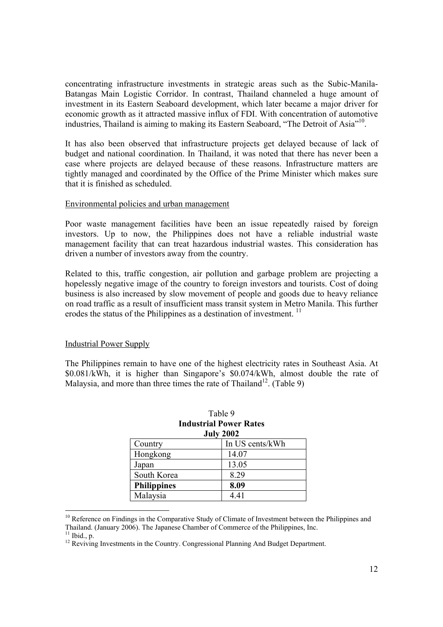concentrating infrastructure investments in strategic areas such as the Subic-Manila-Batangas Main Logistic Corridor. In contrast, Thailand channeled a huge amount of investment in its Eastern Seaboard development, which later became a major driver for economic growth as it attracted massive influx of FDI. With concentration of automotive industries, Thailand is aiming to making its Eastern Seaboard, "The Detroit of Asia"<sup>10</sup>.

It has also been observed that infrastructure projects get delayed because of lack of budget and national coordination. In Thailand, it was noted that there has never been a case where projects are delayed because of these reasons. Infrastructure matters are tightly managed and coordinated by the Office of the Prime Minister which makes sure that it is finished as scheduled.

#### Environmental policies and urban management

Poor waste management facilities have been an issue repeatedly raised by foreign investors. Up to now, the Philippines does not have a reliable industrial waste management facility that can treat hazardous industrial wastes. This consideration has driven a number of investors away from the country.

Related to this, traffic congestion, air pollution and garbage problem are projecting a hopelessly negative image of the country to foreign investors and tourists. Cost of doing business is also increased by slow movement of people and goods due to heavy reliance on road traffic as a result of insufficient mass transit system in Metro Manila. This further erodes the status of the Philippines as a destination of investment.<sup>11</sup>

#### Industrial Power Supply

The Philippines remain to have one of the highest electricity rates in Southeast Asia. At \$0.081/kWh, it is higher than Singapore's \$0.074/kWh, almost double the rate of Malaysia, and more than three times the rate of Thailand<sup>12</sup>. (Table 9)

| <b>July 2002</b>   |                 |  |  |  |  |  |
|--------------------|-----------------|--|--|--|--|--|
| Country            | In US cents/kWh |  |  |  |  |  |
| Hongkong           | 14.07           |  |  |  |  |  |
| Japan              | 13.05           |  |  |  |  |  |
| South Korea        | 8.29            |  |  |  |  |  |
| <b>Philippines</b> | 8.09            |  |  |  |  |  |
| Malaysia           | 4.41            |  |  |  |  |  |

## Table 9 **Industrial Power Rates**

<sup>&</sup>lt;sup>10</sup> Reference on Findings in the Comparative Study of Climate of Investment between the Philippines and Thailand. (January 2006). The Japanese Chamber of Commerce of the Philippines, Inc.  $11$  Ibid., p.

 $12$  Reviving Investments in the Country. Congressional Planning And Budget Department.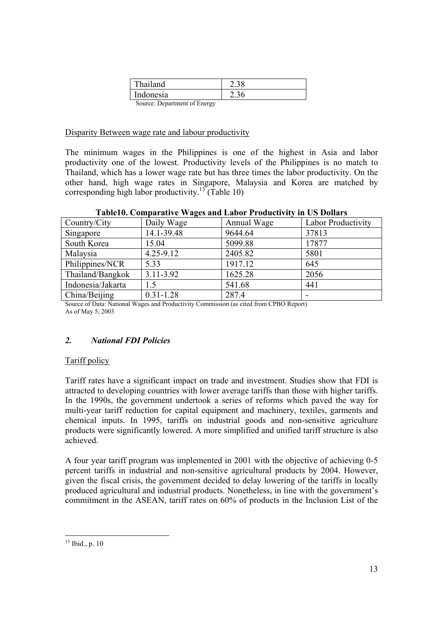| Thailand                     |      |
|------------------------------|------|
| Indonesia                    | 2.36 |
| Source: Department of Energy |      |

Disparity Between wage rate and labour productivity

The minimum wages in the Philippines is one of the highest in Asia and labor productivity one of the lowest. Productivity levels of the Philippines is no match to Thailand, which has a lower wage rate but has three times the labor productivity. On the other hand, high wage rates in Singapore, Malaysia and Korea are matched by corresponding high labor productivity.<sup>13</sup> (Table 10)

|          |            | Table10. Comparative Wages and Labor Productivity in US Dollars |                 |
|----------|------------|-----------------------------------------------------------------|-----------------|
| try/City | Daily Wage | Annual Wage                                                     | Labor Productiv |

| Country/City      | Daily Wage    | Annual Wage | <b>Labor Productivity</b> |
|-------------------|---------------|-------------|---------------------------|
| Singapore         | 14.1-39.48    | 9644.64     | 37813                     |
| South Korea       | 15.04         | 5099.88     | 17877                     |
| Malaysia          | $4.25 - 9.12$ | 2405.82     | 5801                      |
| Philippines/NCR   | 5.33          | 1917.12     | 645                       |
| Thailand/Bangkok  | $3.11 - 3.92$ | 1625.28     | 2056                      |
| Indonesia/Jakarta | 1.5           | 541.68      | 441                       |
| China/Beijing     | $0.31 - 1.28$ | 287.4       |                           |

Source of Data: National Wages and Productivity Commission (as cited from CPBO Report) As of May 5, 2003

## *2. National FDI Policies*

## Tariff policy

Tariff rates have a significant impact on trade and investment. Studies show that FDI is attracted to developing countries with lower average tariffs than those with higher tariffs. In the 1990s, the government undertook a series of reforms which paved the way for multi-year tariff reduction for capital equipment and machinery, textiles, garments and chemical inputs. In 1995, tariffs on industrial goods and non-sensitive agriculture products were significantly lowered. A more simplified and unified tariff structure is also achieved.

A four year tariff program was implemented in 2001 with the objective of achieving 0-5 percent tariffs in industrial and non-sensitive agricultural products by 2004. However, given the fiscal crisis, the government decided to delay lowering of the tariffs in locally produced agricultural and industrial products. Nonetheless, in line with the government's commitment in the ASEAN, tariff rates on 60% of products in the Inclusion List of the

 $\overline{a}$  $13$  Ibid., p. 10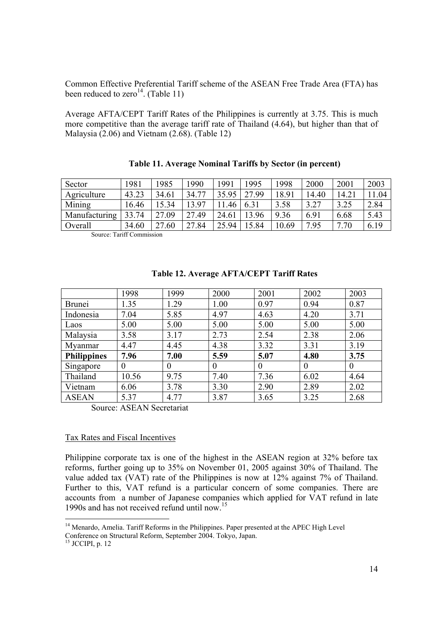Common Effective Preferential Tariff scheme of the ASEAN Free Trade Area (FTA) has been reduced to zero<sup>14</sup>. (Table 11)

Average AFTA/CEPT Tariff Rates of the Philippines is currently at 3.75. This is much more competitive than the average tariff rate of Thailand (4.64), but higher than that of Malaysia (2.06) and Vietnam (2.68). (Table 12)

| Sector        | 1981  | 1985  | 1990  | 1991  | 1995  | 1998  | 2000  | 2001  | 2003 |
|---------------|-------|-------|-------|-------|-------|-------|-------|-------|------|
| Agriculture   | 43.23 | 34.61 | 34.77 | 35.95 | 27.99 | 18.91 | 14.40 | 14.21 | 1.04 |
| Mining        | 16.46 | 15.34 | 3 97، | .46   | 6.31  | 3.58  | 3.27  | 3.25  | 2.84 |
| Manufacturing | 33.74 | 27.09 | 27.49 | 24.61 | 13.96 | 9.36  | 6.91  | 6.68  | 5.43 |
| Overall       | 34.60 | 27.60 | 27.84 | 25.94 | 15.84 | 10.69 | 7.95  | 7.70  | 6.19 |

| Table 11. Average Nominal Tariffs by Sector (in percent) |  |  |  |  |  |  |  |
|----------------------------------------------------------|--|--|--|--|--|--|--|
|----------------------------------------------------------|--|--|--|--|--|--|--|

Source: Tariff Commission

|                    | 1998     | 1999     | 2000     | 2001     | 2002     | 2003     |
|--------------------|----------|----------|----------|----------|----------|----------|
| <b>Brunei</b>      | 1.35     | 1.29     | 1.00     | 0.97     | 0.94     | 0.87     |
| Indonesia          | 7.04     | 5.85     | 4.97     | 4.63     | 4.20     | 3.71     |
| Laos               | 5.00     | 5.00     | 5.00     | 5.00     | 5.00     | 5.00     |
| Malaysia           | 3.58     | 3.17     | 2.73     | 2.54     | 2.38     | 2.06     |
| Myanmar            | 4.47     | 4.45     | 4.38     | 3.32     | 3.31     | 3.19     |
| <b>Philippines</b> | 7.96     | 7.00     | 5.59     | 5.07     | 4.80     | 3.75     |
| Singapore          | $\theta$ | $\Omega$ | $\Omega$ | $\theta$ | $\Omega$ | $\theta$ |
| Thailand           | 10.56    | 9.75     | 7.40     | 7.36     | 6.02     | 4.64     |
| Vietnam            | 6.06     | 3.78     | 3.30     | 2.90     | 2.89     | 2.02     |
| <b>ASEAN</b>       | 5.37     | 4.77     | 3.87     | 3.65     | 3.25     | 2.68     |

### **Table 12. Average AFTA/CEPT Tariff Rates**

Source: ASEAN Secretariat

#### Tax Rates and Fiscal Incentives

Philippine corporate tax is one of the highest in the ASEAN region at 32% before tax reforms, further going up to 35% on November 01, 2005 against 30% of Thailand. The value added tax (VAT) rate of the Philippines is now at 12% against 7% of Thailand. Further to this, VAT refund is a particular concern of some companies. There are accounts from a number of Japanese companies which applied for VAT refund in late 1990s and has not received refund until now.15

Conference on Structural Reform, September 2004. Tokyo, Japan.

 $15$  JCCIPI, p. 12

<sup>&</sup>lt;sup>14</sup> Menardo, Amelia. Tariff Reforms in the Philippines. Paper presented at the APEC High Level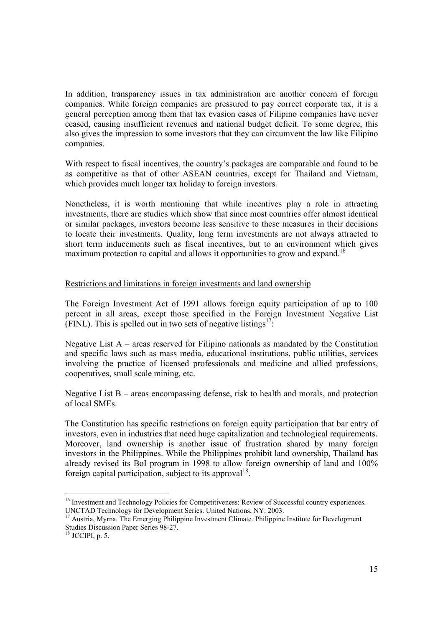In addition, transparency issues in tax administration are another concern of foreign companies. While foreign companies are pressured to pay correct corporate tax, it is a general perception among them that tax evasion cases of Filipino companies have never ceased, causing insufficient revenues and national budget deficit. To some degree, this also gives the impression to some investors that they can circumvent the law like Filipino companies.

With respect to fiscal incentives, the country's packages are comparable and found to be as competitive as that of other ASEAN countries, except for Thailand and Vietnam, which provides much longer tax holiday to foreign investors.

Nonetheless, it is worth mentioning that while incentives play a role in attracting investments, there are studies which show that since most countries offer almost identical or similar packages, investors become less sensitive to these measures in their decisions to locate their investments. Quality, long term investments are not always attracted to short term inducements such as fiscal incentives, but to an environment which gives maximum protection to capital and allows it opportunities to grow and expand.<sup>16</sup>

#### Restrictions and limitations in foreign investments and land ownership

The Foreign Investment Act of 1991 allows foreign equity participation of up to 100 percent in all areas, except those specified in the Foreign Investment Negative List (FINL). This is spelled out in two sets of negative listings<sup>17</sup>:

Negative List  $A$  – areas reserved for Filipino nationals as mandated by the Constitution and specific laws such as mass media, educational institutions, public utilities, services involving the practice of licensed professionals and medicine and allied professions, cooperatives, small scale mining, etc.

Negative List B – areas encompassing defense, risk to health and morals, and protection of local SMEs.

The Constitution has specific restrictions on foreign equity participation that bar entry of investors, even in industries that need huge capitalization and technological requirements. Moreover, land ownership is another issue of frustration shared by many foreign investors in the Philippines. While the Philippines prohibit land ownership, Thailand has already revised its BoI program in 1998 to allow foreign ownership of land and 100% foreign capital participation, subject to its approval<sup>18</sup>.

<sup>&</sup>lt;sup>16</sup> Investment and Technology Policies for Competitiveness: Review of Successful country experiences. UNCTAD Technology for Development Series. United Nations, NY: 2003.

<sup>&</sup>lt;sup>17</sup> Austria, Myrna. The Emerging Philippine Investment Climate. Philippine Institute for Development Studies Discussion Paper Series 98-27.

 $18$  JCCIPI, p. 5.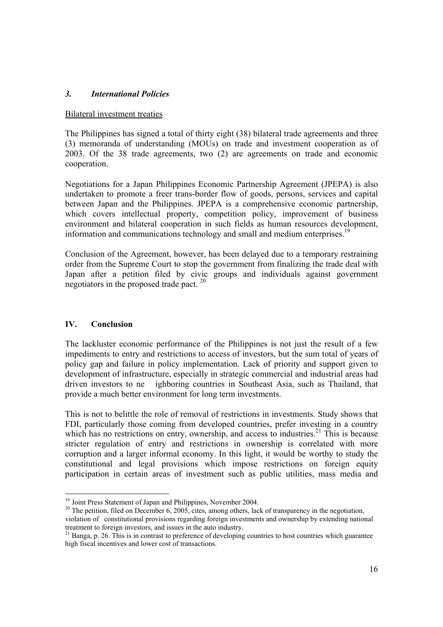### *3. International Policies*

#### Bilateral investment treaties

The Philippines has signed a total of thirty eight (38) bilateral trade agreements and three (3) memoranda of understanding (MOUs) on trade and investment cooperation as of 2003. Of the 38 trade agreements, two (2) are agreements on trade and economic cooperation.

Negotiations for a Japan Philippines Economic Partnership Agreement (JPEPA) is also undertaken to promote a freer trans-border flow of goods, persons, services and capital between Japan and the Philippines. JPEPA is a comprehensive economic partnership, which covers intellectual property, competition policy, improvement of business environment and bilateral cooperation in such fields as human resources development, information and communications technology and small and medium enterprises.<sup>19</sup>

Conclusion of the Agreement, however, has been delayed due to a temporary restraining order from the Supreme Court to stop the government from finalizing the trade deal with Japan after a petition filed by civic groups and individuals against government negotiators in the proposed trade pact. 20

#### **IV. Conclusion**

The lackluster economic performance of the Philippines is not just the result of a few impediments to entry and restrictions to access of investors, but the sum total of years of policy gap and failure in policy implementation. Lack of priority and support given to development of infrastructure, especially in strategic commercial and industrial areas had driven investors to ne ighboring countries in Southeast Asia, such as Thailand, that provide a much better environment for long term investments.

This is not to belittle the role of removal of restrictions in investments. Study shows that FDI, particularly those coming from developed countries, prefer investing in a country which has no restrictions on entry, ownership, and access to industries.<sup>21</sup> This is because stricter regulation of entry and restrictions in ownership is correlated with more corruption and a larger informal economy. In this light, it would be worthy to study the constitutional and legal provisions which impose restrictions on foreign equity participation in certain areas of investment such as public utilities, mass media and

<sup>&</sup>lt;sup>19</sup> Joint Press Statement of Japan and Philippines, November 2004.

<sup>&</sup>lt;sup>20</sup> The petition, filed on December 6, 2005, cites, among others, lack of transparency in the negotiation, violation of constitutional provisions regarding foreign investments and ownership by extending national treatment to foreign investors, and issues in the auto industry.

<sup>&</sup>lt;sup>21</sup> Banga, p. 26. This is in contrast to preference of developing countries to host countries which guarantee high fiscal incentives and lower cost of transactions.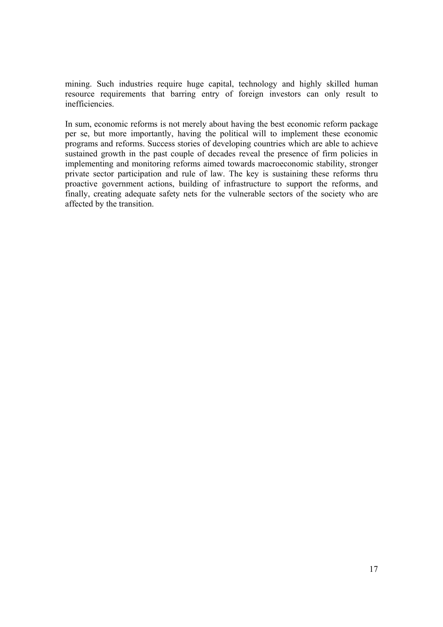mining. Such industries require huge capital, technology and highly skilled human resource requirements that barring entry of foreign investors can only result to inefficiencies.

In sum, economic reforms is not merely about having the best economic reform package per se, but more importantly, having the political will to implement these economic programs and reforms. Success stories of developing countries which are able to achieve sustained growth in the past couple of decades reveal the presence of firm policies in implementing and monitoring reforms aimed towards macroeconomic stability, stronger private sector participation and rule of law. The key is sustaining these reforms thru proactive government actions, building of infrastructure to support the reforms, and finally, creating adequate safety nets for the vulnerable sectors of the society who are affected by the transition.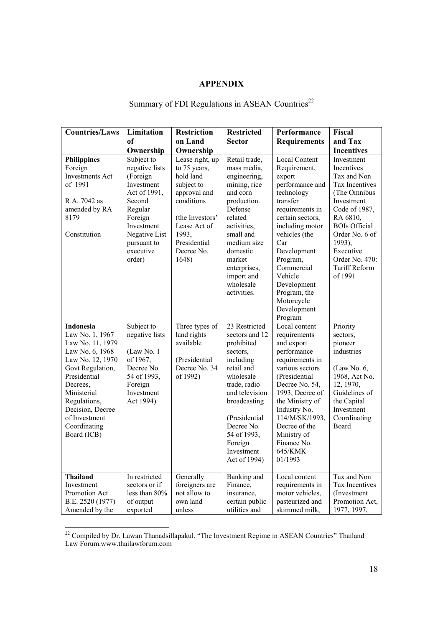## **APPENDIX**

## Summary of FDI Regulations in ASEAN Countries<sup>22</sup>

| <b>Countries/Laws</b>                                                                                                                                                                                                                             | Limitation                                                                                                                                                                  | <b>Restriction</b>                                                                                                                                                          | <b>Restricted</b>                                                                                                                                                                                                                          | Performance                                                                                                                                                                                                                                                                                              | Fiscal                                                                                                                                                                                                                                     |
|---------------------------------------------------------------------------------------------------------------------------------------------------------------------------------------------------------------------------------------------------|-----------------------------------------------------------------------------------------------------------------------------------------------------------------------------|-----------------------------------------------------------------------------------------------------------------------------------------------------------------------------|--------------------------------------------------------------------------------------------------------------------------------------------------------------------------------------------------------------------------------------------|----------------------------------------------------------------------------------------------------------------------------------------------------------------------------------------------------------------------------------------------------------------------------------------------------------|--------------------------------------------------------------------------------------------------------------------------------------------------------------------------------------------------------------------------------------------|
|                                                                                                                                                                                                                                                   | <sub>of</sub>                                                                                                                                                               | on Land                                                                                                                                                                     | <b>Sector</b>                                                                                                                                                                                                                              | <b>Requirements</b>                                                                                                                                                                                                                                                                                      | and Tax                                                                                                                                                                                                                                    |
|                                                                                                                                                                                                                                                   | Ownership                                                                                                                                                                   | Ownership                                                                                                                                                                   |                                                                                                                                                                                                                                            |                                                                                                                                                                                                                                                                                                          | <b>Incentives</b>                                                                                                                                                                                                                          |
| <b>Philippines</b><br>Foreign<br><b>Investments Act</b><br>of 1991<br>R.A. 7042 as<br>amended by RA<br>8179<br>Constitution                                                                                                                       | Subject to<br>negative lists<br>(Foreign<br>Investment<br>Act of 1991,<br>Second<br>Regular<br>Foreign<br>Investment<br>Negative List<br>pursuant to<br>executive<br>order) | Lease right, up<br>to 75 years,<br>hold land<br>subject to<br>approval and<br>conditions<br>(the Investors'<br>Lease Act of<br>1993,<br>Presidential<br>Decree No.<br>1648) | Retail trade,<br>mass media,<br>engineering,<br>mining, rice<br>and corn<br>production.<br>Defense<br>related<br>activities.<br>small and<br>medium size<br>domestic<br>market<br>enterprises,<br>import and<br>wholesale<br>activities.   | <b>Local Content</b><br>Requirement,<br>export<br>performance and<br>technology<br>transfer<br>requirements in<br>certain sectors,<br>including motor<br>vehicles (the<br>Car<br>Development<br>Program,<br>Commercial<br>Vehicle<br>Development<br>Program, the<br>Motorcycle<br>Development<br>Program | Investment<br>Incentives<br>Tax and Non<br>Tax Incentives<br>(The Omnibus<br>Investment<br>Code of 1987,<br>RA 6810,<br><b>BOIs Official</b><br>Order No. 6 of<br>1993),<br>Executive<br>Order No. 470:<br><b>Tariff Reform</b><br>of 1991 |
| <b>Indonesia</b><br>Law No. 1, 1967<br>Law No. 11, 1979<br>Law No. 6, 1968<br>Law No. 12, 1970<br>Govt Regulation,<br>Presidential<br>Decrees,<br>Ministerial<br>Regulations,<br>Decision, Decree<br>of Investment<br>Coordinating<br>Board (ICB) | Subject to<br>negative lists<br>(Law No. 1<br>of 1967,<br>Decree No.<br>54 of 1993,<br>Foreign<br>Investment<br>Act 1994)                                                   | Three types of<br>land rights<br>available<br>(Presidential<br>Decree No. 34<br>of 1992)                                                                                    | 23 Restricted<br>sectors and 12<br>prohibited<br>sectors,<br>including<br>retail and<br>wholesale<br>trade, radio<br>and television<br>broadcasting<br>(Presidential<br>Decree No.<br>54 of 1993,<br>Foreign<br>Investment<br>Act of 1994) | Local content<br>requirements<br>and export<br>performance<br>requirements in<br>various sectors<br>(Presidential<br>Decree No. 54,<br>1993, Decree of<br>the Ministry of<br>Industry No.<br>114/M/SK/1993,<br>Decree of the<br>Ministry of<br>Finance No.<br>645/KMK<br>01/1993                         | Priority<br>sectors,<br>pioneer<br>industries<br>(Law No. 6,<br>1968, Act No.<br>12, 1970,<br>Guidelines of<br>the Capital<br>Investment<br>Coordinating<br>Board                                                                          |
| <b>Thailand</b><br>Investment<br>Promotion Act<br>B.E. 2520 (1977)<br>Amended by the                                                                                                                                                              | In restricted<br>sectors or if<br>less than 80%<br>of output<br>exported                                                                                                    | Generally<br>foreigners are<br>not allow to<br>own land<br>unless                                                                                                           | Banking and<br>Finance,<br>insurance,<br>certain public<br>utilities and                                                                                                                                                                   | Local content<br>requirements in<br>motor vehicles,<br>pasteurized and<br>skimmed milk,                                                                                                                                                                                                                  | Tax and Non<br>Tax Incentives<br>(Investment)<br>Promotion Act,<br>1977, 1997,                                                                                                                                                             |

 $22$  Compiled by Dr. Lawan Thanadsillapakul. "The Investment Regime in ASEAN Countries" Thailand Law Forum.www.thailawforum.com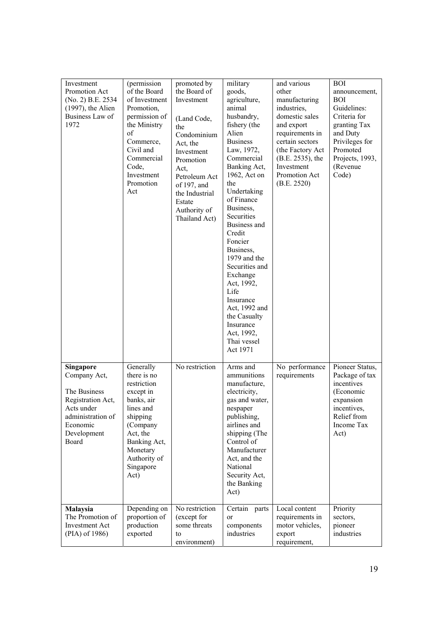| Investment<br>Promotion Act<br>(No. 2) B.E. 2534<br>$(1997)$ , the Alien<br>Business Law of<br>1972                                   | (permission<br>of the Board<br>of Investment<br>Promotion,<br>permission of<br>the Ministry<br>of<br>Commerce,<br>Civil and<br>Commercial<br>Code,<br>Investment<br>Promotion<br>Act | promoted by<br>the Board of<br>Investment<br>(Land Code,<br>the<br>Condominium<br>Act, the<br>Investment<br>Promotion<br>Act,<br>Petroleum Act<br>of 197, and<br>the Industrial<br>Estate<br>Authority of<br>Thailand Act) | military<br>goods,<br>agriculture,<br>animal<br>husbandry,<br>fishery (the<br>Alien<br><b>Business</b><br>Law, 1972,<br>Commercial<br>Banking Act,<br>1962, Act on<br>the<br>Undertaking<br>of Finance<br>Business,<br>Securities<br>Business and<br>Credit<br>Foncier<br>Business,<br>1979 and the<br>Securities and<br>Exchange<br>Act, 1992,<br>Life<br>Insurance<br>Act, 1992 and<br>the Casualty<br>Insurance<br>Act, 1992,<br>Thai vessel<br>Act 1971 | and various<br>other<br>manufacturing<br>industries,<br>domestic sales<br>and export<br>requirements in<br>certain sectors<br>(the Factory Act<br>(B.E. 2535), the<br>Investment<br>Promotion Act<br>(B.E. 2520) | <b>BOI</b><br>announcement,<br><b>BOI</b><br>Guidelines:<br>Criteria for<br>granting Tax<br>and Duty<br>Privileges for<br>Promoted<br>Projects, 1993,<br>(Revenue<br>Code) |
|---------------------------------------------------------------------------------------------------------------------------------------|--------------------------------------------------------------------------------------------------------------------------------------------------------------------------------------|----------------------------------------------------------------------------------------------------------------------------------------------------------------------------------------------------------------------------|-------------------------------------------------------------------------------------------------------------------------------------------------------------------------------------------------------------------------------------------------------------------------------------------------------------------------------------------------------------------------------------------------------------------------------------------------------------|------------------------------------------------------------------------------------------------------------------------------------------------------------------------------------------------------------------|----------------------------------------------------------------------------------------------------------------------------------------------------------------------------|
| Singapore<br>Company Act,<br>The Business<br>Registration Act,<br>Acts under<br>administration of<br>Economic<br>Development<br>Board | Generally<br>there is no<br>restriction<br>except in<br>banks, air<br>lines and<br>shipping<br>(Company<br>Act, the<br>Banking Act,<br>Monetary<br>Authority of<br>Singapore<br>Act) | No restriction                                                                                                                                                                                                             | Arms and<br>ammunitions<br>manufacture,<br>electricity,<br>gas and water,<br>nespaper<br>publishing,<br>airlines and<br>shipping (The<br>Control of<br>Manufacturer<br>Act, and the<br>National<br>Security Act,<br>the Banking<br>Act)                                                                                                                                                                                                                     | No performance<br>requirements                                                                                                                                                                                   | Pioneer Status,<br>Package of tax<br>incentives<br>(Economic<br>expansion<br>incentives.<br>Relief from<br>Income Tax<br>Act)                                              |
| Malaysia<br>The Promotion of<br><b>Investment Act</b><br>(PIA) of 1986)                                                               | Depending on<br>proportion of<br>production<br>exported                                                                                                                              | No restriction<br>(except for<br>some threats<br>to<br>environment)                                                                                                                                                        | Certain parts<br>or<br>components<br>industries                                                                                                                                                                                                                                                                                                                                                                                                             | Local content<br>requirements in<br>motor vehicles,<br>export<br>requirement,                                                                                                                                    | Priority<br>sectors,<br>pioneer<br>industries                                                                                                                              |